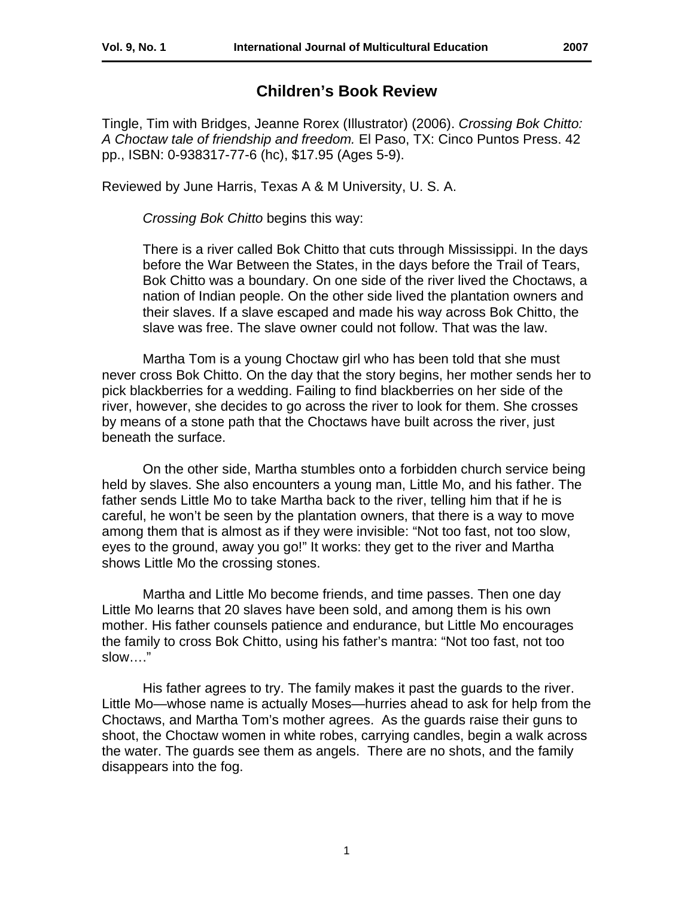## **Children's Book Review**

Tingle, Tim with Bridges, Jeanne Rorex (Illustrator) (2006). *Crossing Bok Chitto: A Choctaw tale of friendship and freedom.* El Paso, TX: Cinco Puntos Press. 42 pp., ISBN: 0-938317-77-6 (hc), \$17.95 (Ages 5-9).

Reviewed by June Harris, Texas A & M University, U. S. A.

*Crossing Bok Chitto* begins this way:

There is a river called Bok Chitto that cuts through Mississippi. In the days before the War Between the States, in the days before the Trail of Tears, Bok Chitto was a boundary. On one side of the river lived the Choctaws, a nation of Indian people. On the other side lived the plantation owners and their slaves. If a slave escaped and made his way across Bok Chitto, the slave was free. The slave owner could not follow. That was the law.

 Martha Tom is a young Choctaw girl who has been told that she must never cross Bok Chitto. On the day that the story begins, her mother sends her to pick blackberries for a wedding. Failing to find blackberries on her side of the river, however, she decides to go across the river to look for them. She crosses by means of a stone path that the Choctaws have built across the river, just beneath the surface.

 On the other side, Martha stumbles onto a forbidden church service being held by slaves. She also encounters a young man, Little Mo, and his father. The father sends Little Mo to take Martha back to the river, telling him that if he is careful, he won't be seen by the plantation owners, that there is a way to move among them that is almost as if they were invisible: "Not too fast, not too slow, eyes to the ground, away you go!" It works: they get to the river and Martha shows Little Mo the crossing stones.

 Martha and Little Mo become friends, and time passes. Then one day Little Mo learns that 20 slaves have been sold, and among them is his own mother. His father counsels patience and endurance, but Little Mo encourages the family to cross Bok Chitto, using his father's mantra: "Not too fast, not too slow…."

 His father agrees to try. The family makes it past the guards to the river. Little Mo—whose name is actually Moses—hurries ahead to ask for help from the Choctaws, and Martha Tom's mother agrees. As the guards raise their guns to shoot, the Choctaw women in white robes, carrying candles, begin a walk across the water. The guards see them as angels. There are no shots, and the family disappears into the fog.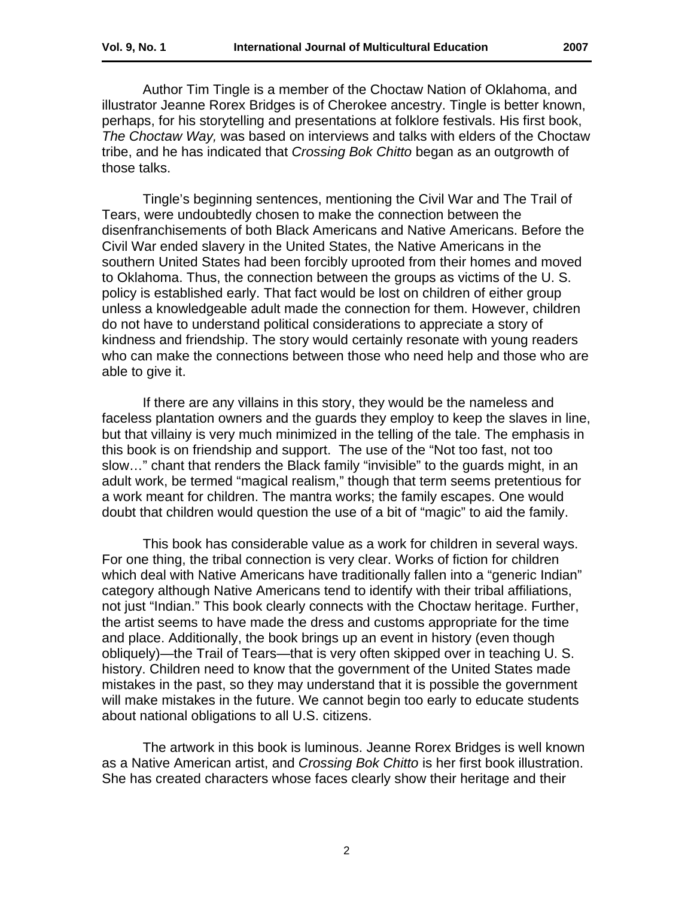Author Tim Tingle is a member of the Choctaw Nation of Oklahoma, and illustrator Jeanne Rorex Bridges is of Cherokee ancestry. Tingle is better known, perhaps, for his storytelling and presentations at folklore festivals. His first book, *The Choctaw Way,* was based on interviews and talks with elders of the Choctaw tribe, and he has indicated that *Crossing Bok Chitto* began as an outgrowth of those talks.

 Tingle's beginning sentences, mentioning the Civil War and The Trail of Tears, were undoubtedly chosen to make the connection between the disenfranchisements of both Black Americans and Native Americans. Before the Civil War ended slavery in the United States, the Native Americans in the southern United States had been forcibly uprooted from their homes and moved to Oklahoma. Thus, the connection between the groups as victims of the U. S. policy is established early. That fact would be lost on children of either group unless a knowledgeable adult made the connection for them. However, children do not have to understand political considerations to appreciate a story of kindness and friendship. The story would certainly resonate with young readers who can make the connections between those who need help and those who are able to give it.

 If there are any villains in this story, they would be the nameless and faceless plantation owners and the guards they employ to keep the slaves in line, but that villainy is very much minimized in the telling of the tale. The emphasis in this book is on friendship and support. The use of the "Not too fast, not too slow…" chant that renders the Black family "invisible" to the guards might, in an adult work, be termed "magical realism," though that term seems pretentious for a work meant for children. The mantra works; the family escapes. One would doubt that children would question the use of a bit of "magic" to aid the family.

 This book has considerable value as a work for children in several ways. For one thing, the tribal connection is very clear. Works of fiction for children which deal with Native Americans have traditionally fallen into a "generic Indian" category although Native Americans tend to identify with their tribal affiliations, not just "Indian." This book clearly connects with the Choctaw heritage. Further, the artist seems to have made the dress and customs appropriate for the time and place. Additionally, the book brings up an event in history (even though obliquely)—the Trail of Tears—that is very often skipped over in teaching U. S. history. Children need to know that the government of the United States made mistakes in the past, so they may understand that it is possible the government will make mistakes in the future. We cannot begin too early to educate students about national obligations to all U.S. citizens.

 The artwork in this book is luminous. Jeanne Rorex Bridges is well known as a Native American artist, and *Crossing Bok Chitto* is her first book illustration. She has created characters whose faces clearly show their heritage and their